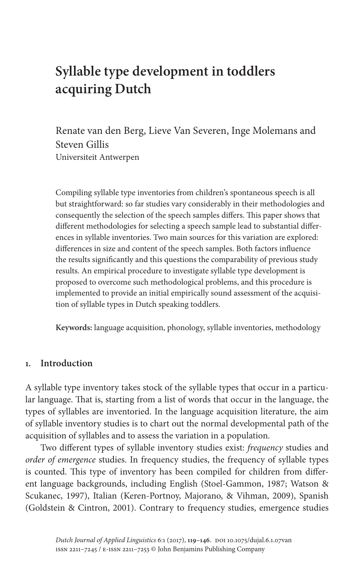# **Syllable type development in toddlers acquiring Dutch**

Renate van den Berg, Lieve Van Severen, Inge Molemans and Steven Gillis Universiteit Antwerpen

Compiling syllable type inventories from children's spontaneous speech is all but straightforward: so far studies vary considerably in their methodologies and consequently the selection of the speech samples differs. This paper shows that different methodologies for selecting a speech sample lead to substantial differences in syllable inventories. Two main sources for this variation are explored: differences in size and content of the speech samples. Both factors influence the results significantly and this questions the comparability of previous study results. An empirical procedure to investigate syllable type development is proposed to overcome such methodological problems, and this procedure is implemented to provide an initial empirically sound assessment of the acquisition of syllable types in Dutch speaking toddlers.

**Keywords:** language acquisition, phonology, syllable inventories, methodology

### **1. Introduction**

A syllable type inventory takes stock of the syllable types that occur in a particular language. That is, starting from a list of words that occur in the language, the types of syllables are inventoried. In the language acquisition literature, the aim of syllable inventory studies is to chart out the normal developmental path of the acquisition of syllables and to assess the variation in a population.

Two different types of syllable inven[tory studies exist:](#page-26-0) *frequency* [studi](#page-27-0)es and *[order of e](#page-27-0)mergence* [studies. In frequency studies, the frequency](#page-26-1) of syllable types [is counted. This type](#page-25-0) of inventory has been compiled for children from different language backgrounds, including English (Stoel-Gammon, 1987; Watson & Scukanec, 1997), Italian (Keren-Portnoy, Majorano, & Vihman, 2009), Spanish (Goldstein & Cintron, 2001). Contrary to frequency studies, emergence studies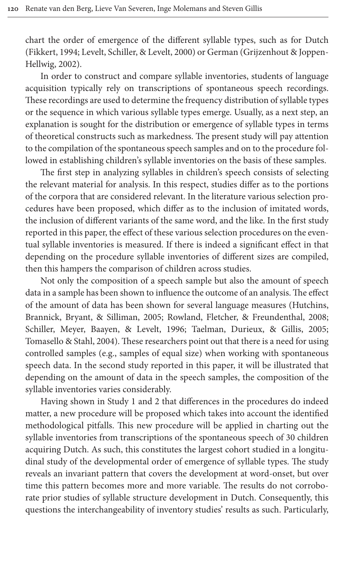[chart th](#page-25-2)e order of emergence of the different syllable types, such as for Dutch (Fikkert, 1994; Levelt, Schiller, & Levelt, 2000) or German (Grijzenhout & Joppen-Hellwig, 2002).

In order to construct and compare syllable inventories, students of language acquisition typically rely on transcriptions of spontaneous speech recordings. These recordings are used to determine the frequency distribution of syllable types or the sequence in which various syllable types emerge. Usually, as a next step, an explanation is sought for the distribution or emergence of syllable types in terms of theoretical constructs such as markedness. The present study will pay attention to the compilation of the spontaneous speech samples and on to the procedure followed in establishing children's syllable inventories on the basis of these samples.

The first step in analyzing syllables in children's speech consists of selecting the relevant material for analysis. In this respect, studies differ as to the portions of the corpora that are considered relevant. In the literature various selection procedures have been proposed, which differ as to the inclusion of imitated words, the inclusion of different variants of the same word, and the like. In the first study reported in this paper, the effect of these various selection procedures on the eventual syllable inventories is measured. If there is indeed a significant effect in that depending on the procedure syllable inventories of different sizes are compiled, then this hampers the comparison of children across studies.

[Not only the composition](#page-26-3) [of a speech sample but also the amount of](#page-26-4) [s](#page-26-3)peech [data in a sample has been shown to in](#page-26-5)[fluence the outcome of an analysis. Th](#page-26-6)e effect [of the amount of](#page-26-7) data has been shown for several language measures (Hutchins, Brannick, Bryant, & Silliman, 2005; Rowland, Fletcher, & Freundenthal, 2008; Schiller, Meyer, Baayen, & Levelt, 1996; Taelman, Durieux, & Gillis, 2005; Tomasello & Stahl, 2004). These researchers point out that there is a need for using controlled samples (e.g., samples of equal size) when working with spontaneous speech data. In the second study reported in this paper, it will be illustrated that depending on the amount of data in the speech samples, the composition of the syllable inventories varies considerably.

Having shown in Study 1 and 2 that differences in the procedures do indeed matter, a new procedure will be proposed which takes into account the identified methodological pitfalls. This new procedure will be applied in charting out the syllable inventories from transcriptions of the spontaneous speech of 30 children acquiring Dutch. As such, this constitutes the largest cohort studied in a longitudinal study of the developmental order of emergence of syllable types. The study reveals an invariant pattern that covers the development at word-onset, but over time this pattern becomes more and more variable. The results do not corroborate prior studies of syllable structure development in Dutch. Consequently, this questions the interchangeability of inventory studies' results as such. Particularly,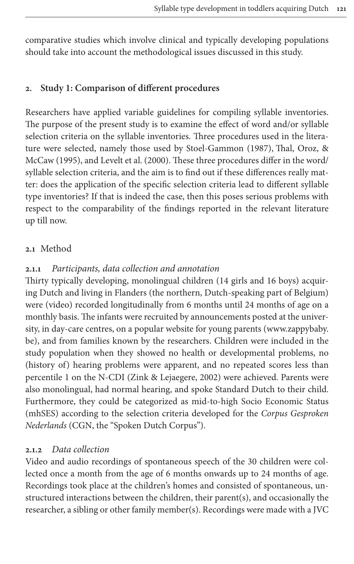comparative studies which involve clinical and typically developing populations should take into account the methodological issues discussed in this study.

# **2. Study 1: Comparison of different procedures**

Researchers have applied variable [guidelines for compilin](#page-26-0)[g syllable inven](#page-26-8)tories. [The pur](#page-26-8)pose [of the present stud](#page-26-2)y is to examine the effect of word and/or syllable selection criteria on the syllable inventories. Three procedures used in the literature were selected, namely those used by Stoel-Gammon (1987), Thal, Oroz, & McCaw (1995), and Levelt et al. (2000). These three procedures differ in the word/ syllable selection criteria, and the aim is to find out if these differences really matter: does the application of the specific selection criteria lead to different syllable type inventories? If that is indeed the case, then this poses serious problems with respect to the comparability of the findings reported in the relevant literature up till now.

# **2.1** Method

### **2.1.1** *Participants, data collection and annotation*

Thirty typically developing, monolingual children (14 girls and 16 boys) acquiring Dutch and living in Flanders (the northern, Dutch-speaking part of Belgium) were (video) recorded longitudinally from 6 months until 24 months of age on a monthly basis. The infants were recruited by announcements posted at the university, in day-care centres, on a popular website for young parents (www.zappybaby. be), and from famili[es known by the researc](#page-27-1)hers. Children were included in the study population when they showed no health or developmental problems, no (history of) hearing problems were apparent, and no repeated scores less than percentile 1 on the N-CDI (Zink & Lejaegere, 2002) were achieved. Parents were also monolingual, had normal hearing, and spoke Standard Dutch to their child. Furthermore, they could be categorized as mid-to-high Socio Economic Status (mhSES) according to the selection criteria developed for the *Corpus Gesproken Nederlands* (CGN, the "Spoken Dutch Corpus").

### **2.1.2** *Data collection*

Video and audio recordings of spontaneous speech of the 30 children were collected once a month from the age of 6 months onwards up to 24 months of age. Recordings took place at the children's homes and consisted of spontaneous, unstructured interactions between the children, their parent(s), and occasionally the researcher, a sibling or other family member(s). Recordings were made with a JVC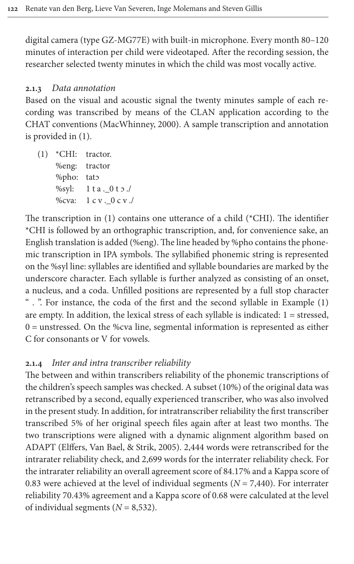digital camera (type GZ-MG77E) with built-in microphone. Every month 80–120 minutes of interaction per child were videotaped. After the recording session, the researcher selected twenty minutes in which the child was most vocally active.

### **2.1.3** *Data [annotation](#page-26-9)*

<span id="page-3-0"></span>Based o[n](#page-3-0) the visual and acoustic signal the twenty minutes sample of each recording was transcribed by means of the CLAN application according to the CHAT conventions (MacWhinney, 2000). A sample transcription and annotation is provided in (1).

(1) \*CHI: tractor. %eng: tractor %pho: tatɔ %syl: [1](#page-3-0) t a .\_0 t ɔ ./ %cva:  $1 c v. 0 c v.$ 

The transcription in (1) contains one utterance of a child (\*CHI). The identifier \*CHI is followed by an orthographic transcription, and, for convenience sake, an English translation is added (%eng). The line headed by %pho contains the phonemic transcription in IPA symbols. The syllabified phonemic string is represented on the %syl line: syllables are identified and syllable boundaries are mark[ed](#page-3-0) by the underscore character. Each syllable is further analyzed as consisting of an onset, a nucleus, and a coda. Unfilled positions are represented by a full stop character " . ". For instance, the coda of the first and the second syllable in Example (1) are empty. In addition, the lexical stress of each syllable is indicated:  $1 =$  stressed, 0 = unstressed. On the %cva line, segmental information is represented as either C for consonants or V for vowels.

### **2.1.4** *Inter and intra transcriber reliability*

The between and within transcribers reliability of the phonemic transcriptions of the children's speech samples was checked. A subset (10%) of the original data was retranscribed by a second, equally experienced transcriber, who was also involved in [the present study. In addition, fo](#page-25-3)r intratranscriber reliability the first transcriber transcribed 5% of her original speech files again after at least two months. The two transcriptions were aligned with a dynamic alignment algorithm based on ADAPT (Elffers, Van Bael, & Strik, 2005). 2,444 words were retranscribed for the intrarater reliability check, and 2,699 words for the interrater reliability check. For the intrarater reliability an overall agreement score of 84.17% and a Kappa score of 0.83 were achieved at the level of individual segments (*N* = 7,440). For interrater reliability 70.43% agreement and a Kappa score of 0.68 were calculated at the level of individual segments  $(N = 8,532)$ .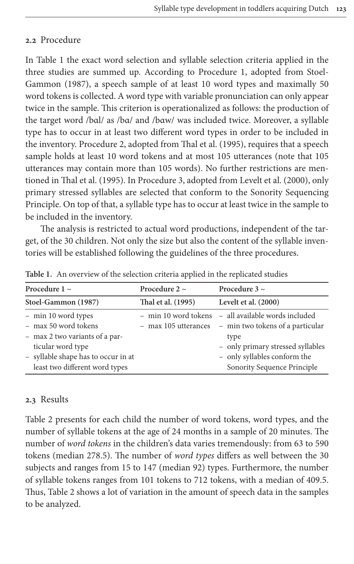# **2.2** Procedure

[In Table 1](#page-26-0) the exact word selection and syllable selection criteria applied in the three studies are summed up. According to Procedure 1, adopted from Stoel-Gammon (1987), a speech sample of at least 10 word types and maximally 50 word tokens is collected. A word type with variable pronunciation can only appear twice in the sample. This criterion [is operationalized](#page-26-8) as follows: the production of the target word /bαl/ as /bα/ and /bαw/ was included twice. Moreover, a syllable type has to occur in at least two different word types in order to be included in th[e inventory. Proce](#page-26-8)dure 2, adopted from Thal et a[l. \(1995\), requires t](#page-26-2)hat a speech sample holds at least 10 word tokens and at most 105 utterances (note that 105 utterances may contain more than 105 words). No further restrictions are mentioned in Thal et al. (1995). In Procedure 3, adopted from Levelt et al. (2000), only primary stressed syllables are selected that conform to the Sonority Sequencing Principle. On top of that, a syllable type has to occur at least twice in the sample to be included in the inventory.

The analysis is restricted to actual word productions, independent of the target, of the 30 children. Not only the size but also the content of the syllable inventories will be established following the guidelines of the three procedures.

| Procedure 1 $\sim$                  | Procedure 2 $\sim$ | Procedure $3 \sim$                                    |
|-------------------------------------|--------------------|-------------------------------------------------------|
| Stoel-Gammon (1987)                 | Thal et al. (1995) | Levelt et al. (2000)                                  |
| - min 10 word types                 |                    | - min 10 word tokens - all available words included   |
| - max 50 word tokens                |                    | - max 105 utterances - min two tokens of a particular |
| - max 2 two variants of a par-      |                    | type                                                  |
| ticular word type                   |                    | - only primary stressed syllables                     |
| - syllable shape has to occur in at |                    | - only syllables conform the                          |
| least two different word types      |                    | Sonority Sequence Principle                           |
|                                     |                    |                                                       |

**[Table 1.](#page-26-0)** An overview of t[he selection criter](#page-26-8)ia app[lied in the replicat](#page-26-2)ed studies

# **2.3** Results

Table 2 presents for each child the number of word tokens, word types, and the number of syllable tokens at the age of 24 months in a sample of 20 minutes. The number of *word tokens* in the children's data varies tremendously: from 63 to 590 [tokens](#page-5-0) (median 278.5). The number of *word types* differs as well between the 30 subjects and ranges from 15 to 147 (median 92) types. Furthermore, the number of syllable tokens ranges from 101 tokens to 712 tokens, with a median of 409.5. Thus, Table 2 shows a lot of variation in the amount of speech data in the samples to be analyzed.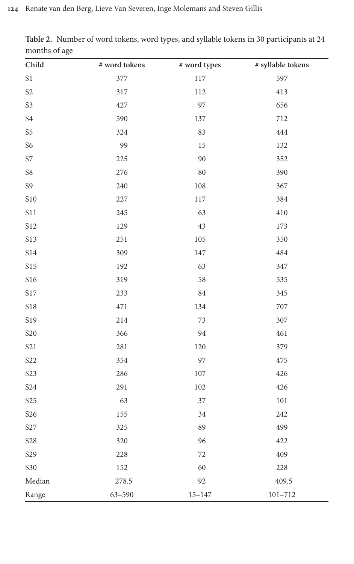| ັ                    |                  |              |                   |
|----------------------|------------------|--------------|-------------------|
| Child                | $\#$ word tokens | # word types | # syllable tokens |
| $\sqrt{\mathrm{S}}1$ | 377              | $117\,$      | 597               |
| S <sub>2</sub>       | 317              | 112          | 413               |
| S3                   | 427              | 97           | 656               |
| $\sqrt{34}$          | 590              | 137          | 712               |
| S <sub>5</sub>       | 324              | 83           | 444               |
| S6                   | 99               | $15\,$       | 132               |
| <b>S7</b>            | 225              | 90           | 352               |
| ${\cal S}8$          | 276              | 80           | 390               |
| S9                   | 240              | $108\,$      | 367               |
| <b>S10</b>           | 227              | $117\,$      | 384               |
| <b>S11</b>           | 245              | 63           | 410               |
| S12                  | 129              | 43           | 173               |
| S13                  | 251              | 105          | 350               |
| <b>S14</b>           | 309              | 147          | 484               |
| <b>S15</b>           | 192              | 63           | 347               |
| <b>S16</b>           | 319              | 58           | 535               |
| <b>S17</b>           | 233              | 84           | 345               |
| <b>S18</b>           | 471              | 134          | $707\,$           |
| S19                  | 214              | 73           | 307               |
| <b>S20</b>           | 366              | 94           | 461               |
| <b>S21</b>           | 281              | 120          | 379               |
| S <sub>22</sub>      | 354              | 97           | 475               |
| <b>S23</b>           | 286              | $107\,$      | 426               |
| <b>S24</b>           | 291              | 102          | 426               |
| <b>S25</b>           | 63               | 37           | $101\,$           |
| <b>S26</b>           | 155              | 34           | 242               |
| S27                  | 325              | 89           | 499               |
| <b>S28</b>           | 320              | 96           | 422               |
| $S29$                | 228              | $72\,$       | 409               |
| <b>S30</b>           | 152              | 60           | 228               |
| Median               | 278.5            | 92           | 409.5             |
| Range                | $63 - 590$       | $15 - 147$   | $101 - 712$       |

<span id="page-5-0"></span>**Table 2.** Number of word tokens, word types, and syllable tokens in 30 participants at 24 months of age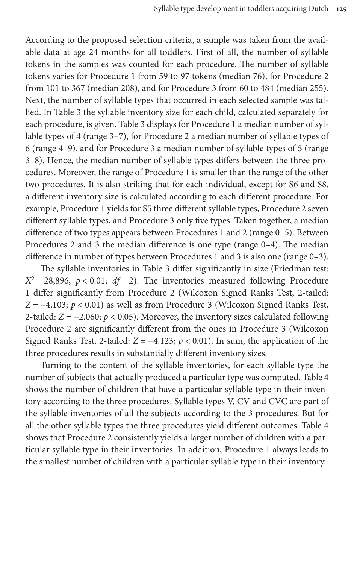According to the proposed selection criteria, a sample was taken from the available data at age 24 months for all toddlers. First of all, the number of syllable tokens in the samples was counted for each procedure. The number of syllable t[okens v](#page-7-0)aries for Procedure 1 from 59 to 97 tokens (median 76), for Procedure 2 from 101 to 367 ([median](#page-7-0) 208), and for Procedure 3 from 60 to 484 (median 255). Next, the number of syllable types that occurred in each selected sample was tallied. In Table 3 the syllable inventory size for each child, calculated separately for each procedure, is given. Table 3 displays for Procedure 1 a median number of syllable types of 4 (range 3–7), for Procedure 2 a median number of syllable types of 6 (range 4–9), and for Procedure 3 a median number of syllable types of 5 (range 3–8). Hence, the median number of syllable types differs between the three procedures. Moreover, the range of Procedure 1 is smaller than the range of the other two procedures. It is also striking that for each individual, except for S6 and S8, a different inventory size is calculated according to each different procedure. For example, Procedure 1 yields for S5 three different syllable types, Procedure 2 seven different syllable types, and Procedure 3 only five types. Taken together, a median difference of two types a[ppears b](#page-7-0)etween Procedures 1 and 2 (range 0–5). Between Procedures 2 and 3 the median difference is one type (range 0–4). The median difference in number of types between Procedures 1 and 3 is also one (range 0–3).

The syllable inventories in Table 3 differ significantly in size (Friedman test:  $X^2 = 28,896$ ;  $p < 0.01$ ; *df* = 2). The inventories measured following Procedure 1 differ significantly from Procedure 2 (Wilcoxon Signed Ranks Test, 2-tailed: *Z* = −4,103; *p* < 0.01) as well as from Procedure 3 (Wilcoxon Signed Ranks Test, 2-tailed: *Z* = −2.060; *p* < 0.05). Moreover, the inventory sizes calculated following Procedure 2 are significantly different from the ones in Procedure 3 (Wilcoxon Signed Ranks Test, 2-tailed:  $Z = -4.123$ ;  $p < 0.01$ ). In sum, the app[lication](#page-8-0) of the three procedures results in substantially different inventory sizes.

Turning to the content of the syllable inventories, for each syllable type the number of subjects that actually produced a particular type was computed. Table 4 shows the number of children that have a particular syllable type [in their](#page-8-0) inventory according to the three procedures. Syllable types V, CV and CVC are part of the syllable inventories of all the subjects according to the 3 procedures. But for all the other syllable types the three procedures yield different outcomes. Table 4 shows that Procedure 2 consistently yields a larger number of children with a particular syllable type in their inventories. In addition, Procedure 1 always leads to the smallest number of children with a particular syllable type in their inventory.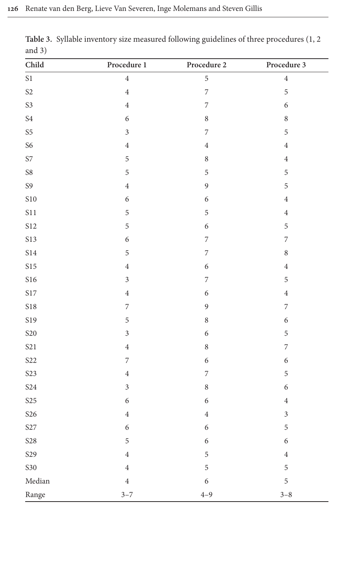| Child                      | Procedure 1              | Procedure 2              | Procedure 3      |  |  |
|----------------------------|--------------------------|--------------------------|------------------|--|--|
| $\mathbf{S}1$              | $\,4\,$                  | 5                        | $\overline{4}$   |  |  |
| S <sub>2</sub>             | $\,4\,$                  | $\overline{7}$           | 5                |  |  |
| S3                         | $\,4\,$                  | $\overline{7}$           | $\overline{6}$   |  |  |
| $\ensuremath{\mathrm{S4}}$ | $\sqrt{6}$               | $\,8\,$                  | $\,8\,$          |  |  |
| S <sub>5</sub>             | $\mathfrak{Z}$           | $\overline{\phantom{a}}$ | 5                |  |  |
| S6                         | $\,4\,$                  | $\,4\,$                  | $\overline{4}$   |  |  |
| <b>S7</b>                  | $\mathbf 5$              | $\,8\,$                  | $\,4\,$          |  |  |
| ${\cal S}8$                | 5                        | 5                        | 5                |  |  |
| S9                         | $\,4\,$                  | $\mathfrak{g}$           | 5                |  |  |
| $\sqrt{\text{S10}}$        | $\boldsymbol{6}$         | $\boldsymbol{6}$         | $\,4\,$          |  |  |
| $\sqrt{511}$               | $\mathbf 5$              | $\mathbf 5$              | $\,4\,$          |  |  |
| <b>S12</b>                 | $\mathbf 5$              | $\sqrt{6}$               | $\mathbf 5$      |  |  |
| <b>S13</b>                 | $\sqrt{6}$               | $\overline{\phantom{a}}$ | $\overline{7}$   |  |  |
| <b>S14</b>                 | 5                        | $\sqrt{ }$               | $\boldsymbol{8}$ |  |  |
| <b>S15</b>                 | $\,4\,$                  | $\sqrt{6}$               | $\overline{4}$   |  |  |
| <b>S16</b>                 | $\sqrt{3}$               | $\overline{\phantom{a}}$ | 5                |  |  |
| $\sqrt{\mathrm{S17}}$      | $\,4\,$                  | $\sqrt{6}$               | $\,4\,$          |  |  |
| <b>S18</b>                 | $\overline{\phantom{a}}$ | $\overline{9}$           | $\overline{7}$   |  |  |
| S19                        | $\mathbf 5$              | $\,8\,$                  | 6                |  |  |
| <b>S20</b>                 | $\overline{3}$           | $\sqrt{6}$               | 5                |  |  |
| <b>S21</b>                 | $\bf 4$                  | $\,8\,$                  | $\overline{7}$   |  |  |
| <b>S22</b>                 | $\overline{7}$           | $\boldsymbol{6}$         | 6                |  |  |
| S <sub>23</sub>            | $\,4\,$                  | $\overline{7}$           | 5                |  |  |
| <b>S24</b>                 | $\mathfrak{Z}$           | $\,8\,$                  | 6                |  |  |
| ${\sf S25}$                | $\sqrt{6}$               | $\sqrt{6}$               | $\,4\,$          |  |  |
| <b>S26</b>                 | $\overline{4}$           | $\,4\,$                  | $\overline{3}$   |  |  |
| S27                        | $\sqrt{6}$               | $\boldsymbol{6}$         | 5                |  |  |
| <b>S28</b>                 | 5                        | $\sqrt{6}$               | $\sqrt{6}$       |  |  |
| S29                        | $\,4\,$                  | 5                        | $\overline{4}$   |  |  |
| <b>S30</b>                 | $\bf 4$                  | 5                        | 5                |  |  |
| $\rm Median$               | $\overline{4}$           | $\sqrt{6}$               | 5                |  |  |
| Range                      | $3 - 7$                  | $4 - 9$                  | $3 - 8$          |  |  |

<span id="page-7-0"></span>**Table 3.** Syllable inventory size measured following guidelines of three procedures (1, 2 and 3)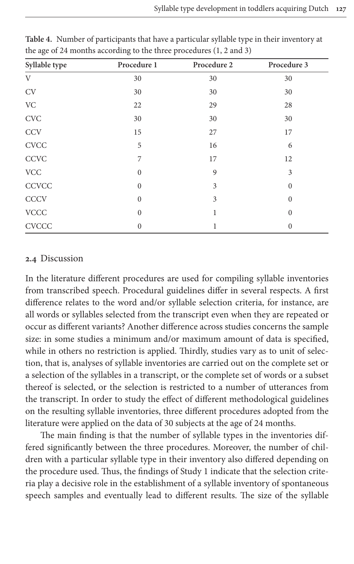| Syllable type             | Procedure 1      | Procedure 2 | Procedure 3  |
|---------------------------|------------------|-------------|--------------|
| V                         | 30               | 30          | 30           |
| <b>CV</b>                 | 30               | 30          | 30           |
| <b>VC</b>                 | 22               | 29          | 28           |
| $\ensuremath{\text{CVC}}$ | 30               | 30          | 30           |
| <b>CCV</b>                | 15               | 27          | 17           |
| <b>CVCC</b>               | 5                | 16          | 6            |
| CCVC                      | 7                | 17          | 12           |
| ${\rm VCC}$               | $\mathbf{0}$     | 9           | 3            |
| <b>CCVCC</b>              | $\boldsymbol{0}$ | 3           | $\mathbf{0}$ |
| <b>CCCV</b>               | $\boldsymbol{0}$ | 3           | $\mathbf{0}$ |
| <b>VCCC</b>               | $\mathbf{0}$     | 1           | $\Omega$     |
| <b>CVCCC</b>              | $\mathbf{0}$     |             | $\mathbf{0}$ |

<span id="page-8-0"></span>**Table 4.** Number of participants that have a particular syllable type in their inventory at the age of 24 months according to the three procedures (1, 2 and 3)

# **2.4** Discussion

In the literature different procedures are used for compiling syllable inventories from transcribed speech. Procedural guidelines differ in several respects. A first difference relates to the word and/or syllable selection criteria, for instance, are all words or syllables selected from the transcript even when they are repeated or occur as different variants? Another difference across studies concerns the sample size: in some studies a minimum and/or maximum amount of data is specified, while in others no restriction is applied. Thirdly, studies vary as to unit of selection, that is, analyses of syllable inventories are carried out on the complete set or a selection of the syllables in a transcript, or the complete set of words or a subset thereof is selected, or the selection is restricted to a number of utterances from the transcript. In order to study the effect of different methodological guidelines on the resulting syllable inventories, three different procedures adopted from the literature were applied on the data of 30 subjects at the age of 24 months.

The main finding is that the number of syllable types in the inventories differed significantly between the three procedures. Moreover, the number of children with a particular syllable type in their inventory also differed depending on the procedure used. Thus, the findings of Study 1 indicate that the selection criteria play a decisive role in the establishment of a syllable inventory of spontaneous speech samples and eventually lead to different results. The size of the syllable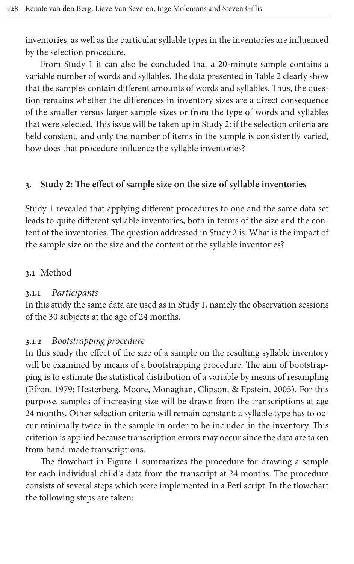inventories, as well as the particular syllable types in th[e invent](#page-5-0)ories are influenced by the selection procedure.

From Study 1 it can also be concluded that a 20-minute sample contains a variable number of words and syllables. The data presented in Table 2 clearly show that the samples contain different amounts of words and syllables. Thus, the question remains whether the differences in inventory sizes are a direct consequence of the smaller versus larger sample sizes or from the type of words and syllables that were selected. This issue will be taken up in Study 2: if the selection criteria are held constant, and only the number of items in the sample is consistently varied, how does that procedure influence the syllable inventories?

### **3. Study 2: The effect of sample size on the size of syllable inventories**

Study 1 revealed that applying different procedures to one and the same data set leads to quite different syllable inventories, both in terms of the size and the content of the inventories. The question addressed in Study 2 is: What is the impact of the sample size on the size and the content of the syllable inventories?

### **3.1** Method

### **3.1.1** *Participants*

In this study the same data are used as in Study 1, namely the observation sessions of the 30 subjects at the age of 24 months.

### **3.1.2** *Bootstrapping procedure*

[In this](#page-25-4) [study the effect of the size of a sample on the resulting sy](#page-25-5)llable inventory will be examined by means of a bootstrapping procedure. The aim of bootstrapping is to estimate the statistical distribution of a variable by means of resampling (Efron, 1979; Hesterberg, Moore, Monaghan, Clipson, & Epstein, 2005). For this purpose, samples of increasing size will be drawn from the transcriptions at age 24 months. Other selection criteria will remain constant: a syllable type has to occur minimally [twice in](#page-11-0) the sample in order to be included in the inventory. This criterion is applied because transcription errors may occur since the data are taken from hand-made transcriptions.

The flowchart in Figure 1 summarizes the procedure for drawing a sample for each individual child's data from the transcript at 24 months. The procedure consists of several steps which were implemented in a Perl script. In the flowchart the following steps are taken: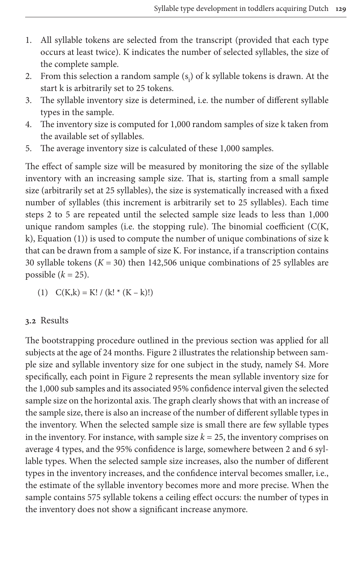- 1. All syllable tokens are selected from the transcript (provided that each type occurs at least twice). K indicates the number of selected syllables, the size of the complete sample.
- 2. From this selection a random sample  $(s_i)$  of k syllable tokens is drawn. At the start k is arbitrarily set to 25 tokens.
- 3. The syllable inventory size is determined, i.e. the number of different syllable types in the sample.
- 4. The inventory size is computed for 1,000 random samples of size k taken from the available set of syllables.
- 5. The average inventory size is calculated of these 1,000 samples.

The effect of sample size will be measured by monitoring the size of the syllable inventory with an increasing sample size. That is, starting from a small sample size (arbitrarily set at 25 syllables), the size is systematically increased with a fixed numb[er](#page-10-0) of syllables (this increment is arbitrarily set to 25 syllables). Each time steps 2 to 5 are repeated until the selected sample size leads to less than 1,000 unique random samples (i.e. the stopping rule). The binomial coefficient (C(K, k), Equation (1)) is used to compute the number of unique combinations of size k that can be drawn from a sample of size K. For instance, if a transcription contains 30 syllable tokens  $(K = 30)$  then 142,506 unique combinations of 25 syllables are possible  $(k = 25)$ .

<span id="page-10-0"></span>(1)  $C(K,k) = K! / (k! * (K - k)!)$ 

### **3.2** Results

The bootstrapping [procedu](#page-12-0)re outlined in the previous section was applied for all subjects at the age of 24 months. Figure 2 illustrates the relationship between sample size and syllable inventory size for one subject in the study, namely S4. More specifically, each point in Figure 2 represents the mean syllable inventory size for the 1,000 sub samples and its associated 95% confidence interval given the selected sample size on the horizontal axis. The graph clearly shows that with an increase of the sample size, there is also an increase of the number of different syllable types in the inventory. When the selected sample size is small there are few syllable types in the inventory. For instance, with sample size  $k = 25$ , the inventory comprises on average 4 types, and the 95% confidence is large, somewhere between 2 and 6 syllable types. When the selected sample size increases, also the number of different types in the inventory increases, and the confidence interval becomes smaller, i.e., the estimate of the syllable inventory becomes more and more precise. When the sample contains 575 syllable tokens a ceiling effect occurs: the number of types in the inventory does not show a significant increase anymore.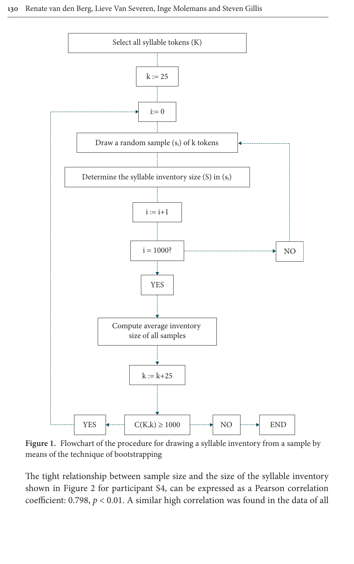

<span id="page-11-0"></span>**Figure 1.** Flowchart of the procedure for drawing a syllable inventory from a sample by me[ans of the](#page-12-0) technique of bootstrapping

The tight relationship between sample size and the size of the syllable inventory shown in Figure 2 for participant S4, can be expressed as a Pearson correlation coefficient: 0.798, *p* < 0.01. A similar high correlation was found in the data of all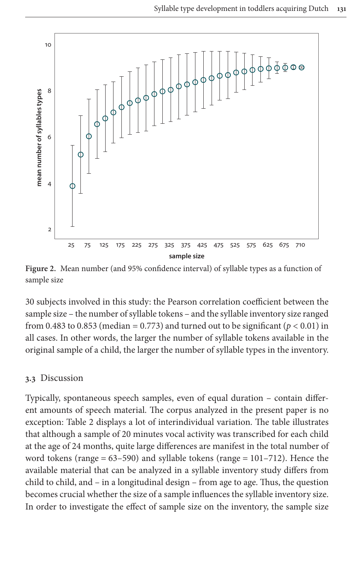

<span id="page-12-0"></span>**Figure 2.** Mean number (and 95% confidence interval) of syllable types as a function of sample size

30 subjects involved in this study: the Pearson correlation coefficient between the sample size – the number of syllable tokens – and the syllable inventory size ranged from 0.483 to 0.853 (median = 0.773) and turned out to be significant ( $p < 0.01$ ) in all cases. In other words, the larger the number of syllable tokens available in the original sample of a child, the larger the number of syllable types in the inventory.

### **3.3** Discussion

Typ[ically, sp](#page-5-0)ontaneous speech samples, even of equal duration – contain different amounts of speech material. The corpus analyzed in the present paper is no exception: Table 2 displays a lot of interindividual variation. The table illustrates that although a sample of 20 minutes vocal activity was transcribed for each child at the age of 24 months, quite large differences are manifest in the total number of word tokens (range = 63–590) and syllable tokens (range = 101–712). Hence the available material that can be analyzed in a syllable inventory study differs from child to child, and – in a longitudinal design – from age to age. Thus, the question becomes crucial whether the size of a sample influences the syllable inventory size. In order to investigate the effect of sample size on the inventory, the sample size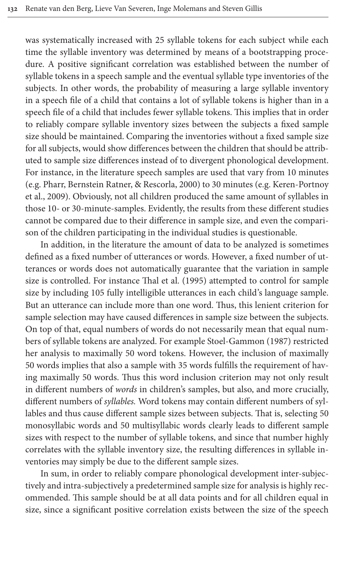was systematically increased with 25 syllable tokens for each subject while each time the syllable inventory was determined by means of a bootstrapping procedure. A positive significant correlation was established between the number of syllable tokens in a speech sample and the eventual syllable type inventories of the subjects. In other words, the probability of measuring a large syllable inventory in a speech file of a child that contains a lot of syllable tokens is higher than in a speech file of a child that includes fewer syllable tokens. This implies that in order to reliably compare syllable inventory sizes between the subjects a fixed sample size should be maintained. Comparing the inventories without a fixed sample size [for all subjects, would show differences b](#page-26-10)etween the childre[n that should be](#page-26-1) attrib[uted](#page-26-1) to sample size differences instead of to divergent phonological development. For instance, in the literature speech samples are used that vary from 10 minutes (e.g. Pharr, Bernstein Ratner, & Rescorla, 2000) to 30 minutes (e.g. Keren-Portnoy et al., 2009). Obviously, not all children produced the same amount of syllables in those 10- or 30-minute-samples. Evidently, the results from these different studies cannot be compared due to their difference in sample size, and even the comparison of the children participating in the individual studies is questionable.

In addition, in the li[terature the amou](#page-26-8)nt of data to be analyzed is sometimes defined as a fixed number of utterances or words. However, a fixed number of utterances or words does not automatically guarantee that the variation in sample size is controlled. For instance Thal et al. (1995) attempted to control for sample size by including 105 fully intelligible utterances in each child's language sample. But an utterance can include more than o[ne word. Thus, this len](#page-26-0)ient criterion for sample selection may have caused differences in sample size between the subjects. On top of that, equal numbers of words do not necessarily mean that equal numbers of syllable tokens are analyzed. For example Stoel-Gammon (1987) restricted her analysis to maximally 50 word tokens. However, the inclusion of maximally 50 words implies that also a sample with 35 words fulfills the requirement of having maximally 50 words. Thus this word inclusion criterion may not only result in different numbers of *words* in children's samples, but also, and more crucially, different numbers of *syllables.* Word tokens may contain different numbers of syllables and thus cause different sample sizes between subjects. That is, selecting 50 monosyllabic words and 50 multisyllabic words clearly leads to different sample sizes with respect to the number of syllable tokens, and since that number highly correlates with the syllable inventory size, the resulting differences in syllable inventories may simply be due to the different sample sizes.

In sum, in order to reliably compare phonological development inter-subjectively and intra-subjectively a predetermined sample size for analysis is highly recommended. This sample should be at all data points and for all children equal in size, since a significant positive correlation exists between the size of the speech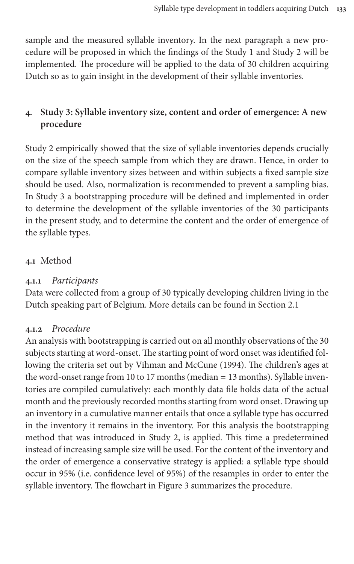sample and the measured syllable inventory. In the next paragraph a new procedure will be proposed in which the findings of the Study 1 and Study 2 will be implemented. The procedure will be applied to the data of 30 children acquiring Dutch so as to gain insight in the development of their syllable inventories.

# **4. Study 3: Syllable inventory size, content and order of emergence: A new procedure**

Study 2 empirically showed that the size of syllable inventories depends crucially on the size of the speech sample from which they are drawn. Hence, in order to compare syllable inventory sizes between and within subjects a fixed sample size should be used. Also, normalization is recommended to prevent a sampling bias. In Study 3 a bootstrapping procedure will be defined and implemented in order to determine the development of the syllable inventories of the 30 participants in the present study, and to determine the content and the order of emergence of the syllable types.

# **4.1** Method

# **4.1.1** *Participants*

Data were collected from a group of 30 typically developing children living in the Dutch speaking part of Belgium. More details can be found in Section 2.1

# **4.1.2** *Procedure*

An analysis with boots[trapping is carried out on all m](#page-26-11)onthly observations of the 30 subjects starting at word-onset. The starting point of word onset was identified following the criteria set out by Vihman and McCune (1994). The children's ages at the word-onset range from 10 to 17 months (median = 13 months). Syllable inventories are compiled cumulatively: each monthly data file holds data of the actual month and the previously recorded months starting from word onset. Drawing up an inventory in a cumulative manner entails that once a syllable type has occurred in the inventory it remains in the inventory. For this analysis the bootstrapping method that was introduced in Study 2, is applied. This time a predetermined instead of increasing sample [size will b](#page-15-0)e used. For the content of the inventory and the order of emergence a conservative strategy is applied: a syllable type should occur in 95% (i.e. confidence level of 95%) of the resamples in order to enter the syllable inventory. The flowchart in Figure 3 summarizes the procedure.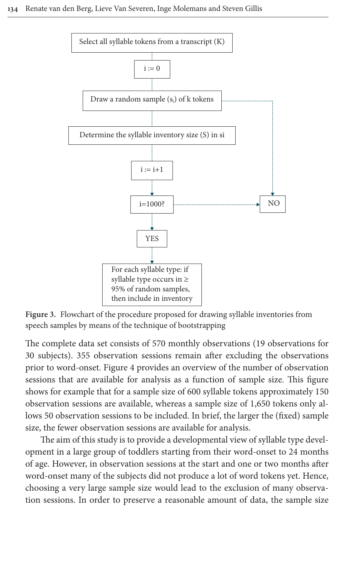

<span id="page-15-0"></span>**Figure 3.** Flowchart of the procedure proposed for drawing syllable inventories from speech samples by means of the technique of bootstrapping

The complete [data set](#page-16-0) consists of 570 monthly observations (19 observations for 30 subjects). 355 observation sessions remain after excluding the observations prior to word-onset. Figure 4 provides an overview of the number of observation sessions that are available for analysis as a function of sample size. This figure shows for example that for a sample size of 600 syllable tokens approximately 150 observation sessions are available, whereas a sample size of 1,650 tokens only allows 50 observation sessions to be included. In brief, the larger the (fixed) sample size, the fewer observation sessions are available for analysis.

The aim of this study is to provide a developmental view of syllable type development in a large group of toddlers starting from their word-onset to 24 months of age. However, in observation sessions at the start and one or two months after word-onset many of the subjects did not produce a lot of word tokens yet. Hence, choosing a very large sample size would lead to the exclusion of many observation sessions. In order to preserve a reasonable amount of data, the sample size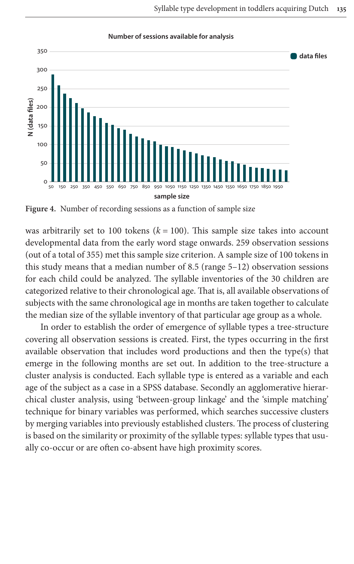

#### **Number of sessions available for analysis**

<span id="page-16-0"></span>**Figure 4.** Number of recording sessions as a function of sample size

was arbitrarily set to 100 tokens  $(k = 100)$ . This sample size takes into account developmental data from the early word stage onwards. 259 observation sessions (out of a total of 355) met this sample size criterion. A sample size of 100 tokens in this study means that a median number of 8.5 (range 5–12) observation sessions for each child could be analyzed. The syllable inventories of the 30 children are categorized relative to their chronological age. That is, all available observations of subjects with the same chronological age in months are taken together to calculate the median size of the syllable inventory of that particular age group as a whole.

In order to establish the order of emergence of syllable types a tree-structure covering all observation sessions is created. First, the types occurring in the first available observation that includes word productions and then the type(s) that emerge in the following months are set out. In addition to the tree-structure a cluster analysis is conducted. Each syllable type is entered as a variable and each age of the subject as a case in a SPSS database. Secondly an agglomerative hierarchical cluster analysis, using 'between-group linkage' and the 'simple matching' technique for binary variables was performed, which searches successive clusters by merging variables into previously established clusters. The process of clustering is based on the similarity or proximity of the syllable types: syllable types that usually co-occur or are often co-absent have high proximity scores.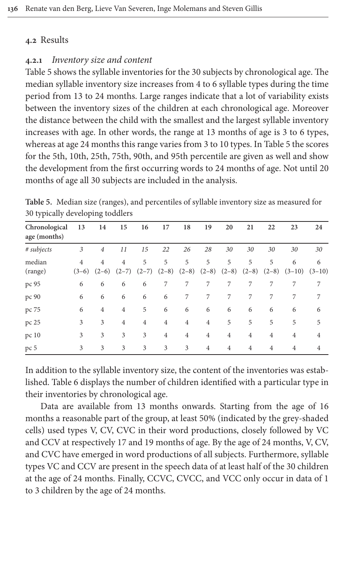### **[4](#page-17-0).2** Results

### **4.2.1** *Inventory size and content*

Table 5 shows the syllable inventories for the 30 subjects by chronological age. The median syllable inventory size increases from 4 to 6 syllable types during the time period from 13 to 24 months. Large ranges indicate that a lot of variability exists between the inventory sizes of the children at each chro[nologic](#page-17-0)al age. Moreover the distance between the child with the smallest and the largest syllable inventory increases with age. In other words, the range at 13 months of age is 3 to 6 types, whereas at age 24 months this range varies from 3 to 10 types. In Table 5 the scores for the 5th, 10th, 25th, 75th, 90th, and 95th percentile are given as well and show the development from the first occurring words to 24 months of age. Not until 20 months of age all 30 subjects are included in the analysis.

<span id="page-17-0"></span>**Table 5.** Median size (ranges), and percentiles of syllable inventory size as measured for 30 typically developing toddlers

| Chronological | 13             | 14             | 15             | 16             | 17             | 18             | 19             | 20             | 21             | 22             | 23             | 24             |
|---------------|----------------|----------------|----------------|----------------|----------------|----------------|----------------|----------------|----------------|----------------|----------------|----------------|
| age (months)  |                |                |                |                |                |                |                |                |                |                |                |                |
| # subjects    | 3              | $\overline{4}$ | 11             | 15             | 22             | 26             | 28             | 30             | 30             | 30             | 30             | 30             |
| median        | $\overline{4}$ | $\overline{4}$ | $\overline{4}$ | 5              | 5              | 5              | 5              | 5              | 5              | 5              | 6              | 6              |
| (range)       | $(3-6)$        | $(2-6)$        | $(2-7)$        | $(2-7)$        | $(2-8)$        | $(2-8)$        | $(2-8)$        | $(2-8)$        | $(2-8)$        | $(2-8)$        | $(3-10)$       | $(3-10)$       |
| pc 95         | 6              | 6              | 6              | 6              | 7              | 7              | 7              | 7              | 7              | 7              | 7              | 7              |
| pc 90         | 6              | 6              | 6              | 6              | 6              | 7              | 7              | 7              | 7              | 7              | 7              | 7              |
| pc 75         | 6              | $\overline{4}$ | $\overline{4}$ | 5              | 6              | 6              | 6              | 6              | 6              | 6              | 6              | 6              |
| pc 25         | 3              | 3              | $\overline{4}$ | $\overline{4}$ | $\overline{4}$ | $\overline{4}$ | $\overline{4}$ | 5              | 5              | 5              | 5              | 5              |
| pc 10         | 3              | 3              | 3              | 3              | $\overline{4}$ | $\overline{4}$ | $\overline{4}$ | $\overline{4}$ | $\overline{4}$ | $\overline{4}$ | $\overline{4}$ | $\overline{4}$ |
| pc 5          | 3              | 3              | 3              | 3              | 3              | 3              | $\overline{4}$ | $\overline{4}$ | $\overline{4}$ | $\overline{4}$ | $\overline{4}$ | $\overline{4}$ |

In addition to the syllable inventory size, the content of the inventories was established. Table 6 displays the number of children identified with a particular type in their inventories by chronological age.

Data are available from 13 months onwards. Starting from the age of 16 months a reasonable part of the group, at least 50% (indicated by the grey-shaded cells) used types V, CV, CVC in their word productions, closely followed by VC and CCV at respectively 17 and 19 months of age. By the age of 24 months, V, CV, and CVC have emerged in word productions of all subjects. Furthermore, syllable types VC and CCV are present in the speech data of at least half of the 30 children at the age of 24 months. Finally, CCVC, CVCC, and VCC only occur in data of 1 to 3 children by the age of 24 months.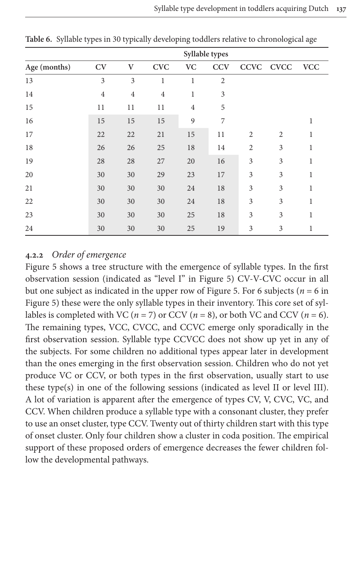|              | Syllable types |                |                |                |                |                |                |            |
|--------------|----------------|----------------|----------------|----------------|----------------|----------------|----------------|------------|
| Age (months) | <b>CV</b>      | $\mathbf{V}$   | <b>CVC</b>     | <b>VC</b>      | <b>CCV</b>     |                | CCVC CVCC      | <b>VCC</b> |
| 13           | 3              | 3              | 1              | 1              | $\overline{2}$ |                |                |            |
| 14           | $\overline{4}$ | $\overline{4}$ | $\overline{4}$ | 1              | 3              |                |                |            |
| 15           | 11             | 11             | 11             | $\overline{4}$ | 5              |                |                |            |
| 16           | 15             | 15             | 15             | 9              | 7              |                |                | 1          |
| 17           | 22             | 22             | 21             | 15             | 11             | $\overline{2}$ | $\overline{2}$ | 1          |
| 18           | 26             | 26             | 25             | 18             | 14             | $\overline{2}$ | 3              | 1          |
| 19           | 28             | 28             | 27             | 20             | 16             | 3              | 3              | 1          |
| 20           | 30             | 30             | 29             | 23             | 17             | 3              | 3              | 1          |
| 21           | 30             | 30             | 30             | 24             | 18             | 3              | 3              | 1          |
| 22           | 30             | 30             | 30             | 24             | 18             | 3              | 3              | 1          |
| 23           | 30             | 30             | 30             | 25             | 18             | 3              | 3              | 1          |
| 24           | 30             | 30             | 30             | 25             | 19             | 3              | 3              | 1          |

<span id="page-18-0"></span>**Table 6.** Syllable types in 30 typically developing toddlers relative to chronological age

### **4.2.2** *Order of emergence*

[Fi](#page-19-0)gure 5 shows a tree structure with the [emergen](#page-19-0)ce of syllable types. In the first observation session (indicated as "level I" in Figure 5) CV-V-CVC occur in all but one subject as indicated in the upper row of Figure 5. For 6 subjects (*n* = 6 in Figure 5) these were the only syllable types in their inventory. This core set of syllables is completed with VC ( $n = 7$ ) or CCV ( $n = 8$ ), or both VC and CCV ( $n = 6$ ). The remaining types, VCC, CVCC, and CCVC emerge only sporadically in the first observation session. Syllable type CCVCC does not show up yet in any of the subjects. For some children no additional types appear later in development than the ones emerging in the first observation session. Children who do not yet produce VC or CCV, or both types in the first observation, usually start to use these type(s) in one of the following sessions (indicated as level II or level III). A lot of variation is apparent after the emergence of types CV, V, CVC, VC, and CCV. When children produce a syllable type with a consonant cluster, they prefer to use an onset cluster, type CCV. Twenty out of thirty children start with this type of onset cluster. Only four children show a cluster in coda position. The empirical support of these proposed orders of emergence decreases the fewer children follow the developmental pathways.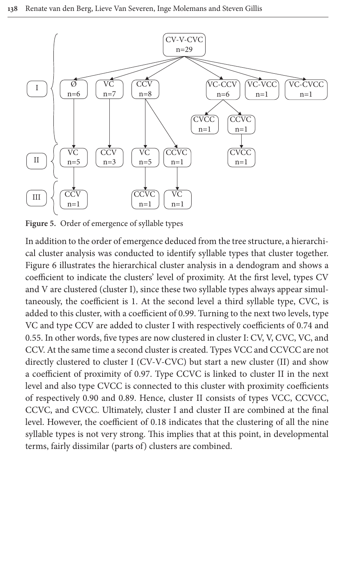

<span id="page-19-0"></span>[Fi](#page-20-0)gure 5. Order of emergence of syllable types

In addition to the order of emergence deduced from the tree structure, a hierarchical cluster analysis was conducted to identify syllable types that cluster together. Figure 6 illustrates the hierarchical cluster analysis in a dendogram and shows a coefficient to indicate the clusters' level of proximity. At the first level, types CV and V are clustered (cluster I), since these two syllable types always appear simultaneously, the coefficient is 1. At the second level a third syllable type, CVC, is added to this cluster, with a coefficient of 0.99. Turning to the next two levels, type VC and type CCV are added to cluster I with respectively coefficients of 0.74 and 0.55. In other words, five types are now clustered in cluster I: CV, V, CVC, VC, and CCV. At the same time a second cluster is created. Types VCC and CCVCC are not directly clustered to cluster I (CV-V-CVC) but start a new cluster (II) and show a coefficient of proximity of 0.97. Type CCVC is linked to cluster II in the next level and also type CVCC is connected to this cluster with proximity coefficients of respectively 0.90 and 0.89. Hence, cluster II consists of types VCC, CCVCC, CCVC, and CVCC. Ultimately, cluster I and cluster II are combined at the final level. However, the coefficient of 0.18 indicates that the clustering of all the nine syllable types is not very strong. This implies that at this point, in developmental terms, fairly dissimilar (parts of) clusters are combined.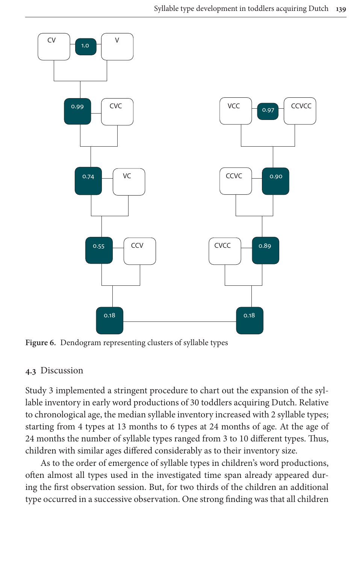

<span id="page-20-0"></span>**Figure 6.** Dendogram representing clusters of syllable types

### **4.3** Discussion

Study 3 implemented a stringent procedure to chart out the expansion of the syllable inventory in early word productions of 30 toddlers acquiring Dutch. Relative to chronological age, the median syllable inventory increased with 2 syllable types; starting from 4 types at 13 months to 6 types at 24 months of age. At the age of 24 months the number of syllable types ranged from 3 to 10 different types. Thus, children with similar ages differed considerably as to their inventory size.

As to the order of emergence of syllable types in children's word productions, often almost all types used in the investigated time span already appeared during the first observation session. But, for two thirds of the children an additional type occurred in a successive observation. One strong finding was that all children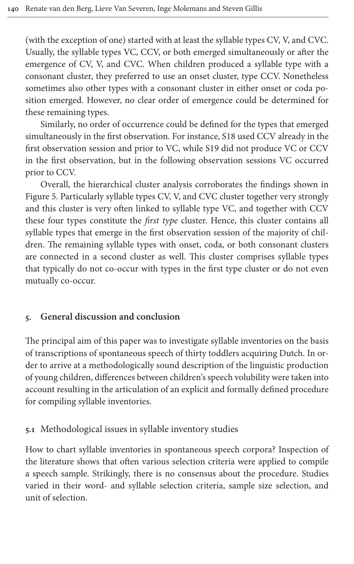(with the exception of one) started with at least the syllable types CV, V, and CVC. Usually, the syllable types VC, CCV, or both emerged simultaneously or after the emergence of CV, V, and CVC. When children produced a syllable type with a consonant cluster, they preferred to use an onset cluster, type CCV. Nonetheless sometimes also other types with a consonant cluster in either onset or coda position emerged. However, no clear order of emergence could be determined for these remaining types.

Similarly, no order of occurrence could be defined for the types that emerged simultaneously in the first observation. For instance, S18 used CCV already in the first observation session and prior to VC, while S19 did not produce VC or CCV [in](#page-19-0) the first observation, but in the following observation sessions VC occurred prior to CCV.

Overall, the hierarchical cluster analysis corroborates the findings shown in Figure 5. Particularly syllable types CV, V, and CVC cluster together very strongly and this cluster is very often linked to syllable type VC, and together with CCV these four types constitute the *first type* cluster. Hence, this cluster contains all syllable types that emerge in the first observation session of the majority of children. The remaining syllable types with onset, coda, or both consonant clusters are connected in a second cluster as well. This cluster comprises syllable types that typically do not co-occur with types in the first type cluster or do not even mutually co-occur.

# **5. General discussion and conclusion**

The principal aim of this paper was to investigate syllable inventories on the basis of transcriptions of spontaneous speech of thirty toddlers acquiring Dutch. In order to arrive at a methodologically sound description of the linguistic production of young children, differences between children's speech volubility were taken into account resulting in the articulation of an explicit and formally defined procedure for compiling syllable inventories.

# **5.1** Methodological issues in syllable inventory studies

How to chart syllable inventories in spontaneous speech corpora? Inspection of the literature shows that often various selection criteria were applied to compile a speech sample. Strikingly, there is no consensus about the procedure. Studies varied in their word- and syllable selection criteria, sample size selection, and unit of selection.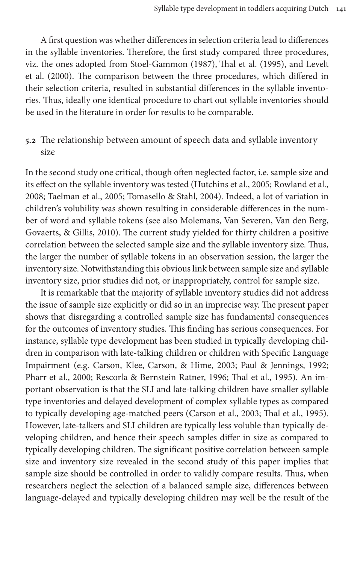[A](#page-26-2) first question [was whether differences i](#page-26-0)[n selection criteria](#page-26-8) lead [to diffe](#page-26-2)rences in the syllable inventories. Therefore, the first study compared three procedures, viz. the ones adopted from Stoel-Gammon (1987), Thal et al. (1995), and Levelt et al. (2000). The comparison between the three procedures, which differed in their selection criteria, resulted in substantial differences in the syllable inventories. Thus, ideally one identical procedure to chart out syllable inventories should be used in the literature in order for results to be comparable.

# **5.2** The relationship between amoun[t of speech data and](#page-26-3) [syllable invent](#page-26-4)ory size

[In the second study](#page-26-6) [one critical, though often](#page-26-7) neglected factor, i.e. sample size and its effect on the syllable inventory [was tested \(Hutchins et al., 2005; Rowland](#page-26-12) et al., [2008; Taelman et](#page-26-12) al., 2005; Tomasello & Stahl, 2004). Indeed, a lot of variation in children's volubility was shown resulting in considerable differences in the number of word and syllable tokens (see also Molemans, Van Severen, Van den Berg, Govaerts, & Gillis, 2010). The current study yielded for thirty children a positive correlation between the selected sample size and the syllable inventory size. Thus, the larger the number of syllable tokens in an observation session, the larger the inventory size. Notwithstanding this obvious link between sample size and syllable inventory size, prior studies did not, or inappropriately, control for sample size.

It is remarkable that the majority of syllable inventory studies did not address the issue of sample size explicitly or did so in an imprecise way. The present paper shows that disregarding a controlled sample size has fundamental consequences for the out[comes of inventory studies. This finding](#page-25-6) [has serious consequenc](#page-26-13)es. For [instance, sy](#page-26-10)[llable type development has been stu](#page-26-14)[died in typically](#page-26-8) developing children in comparison with late-talking children or children with Specific Language Impairment (e.g. Carson, Klee, Carson, & Hime, 2003; Paul & Jennings, 1992; Pharr et al., 2000; Rescorla & Berns[tein Ratner, 1996;](#page-25-6) [Thal et al., 1995\).](#page-26-8) An important observation is that the SLI and late-talking children have smaller syllable type inventories and delayed development of complex syllable types as compared to typically developing age-matched peers (Carson et al., 2003; Thal et al., 1995). However, late-talkers and SLI children are typically less voluble than typically developing children, and hence their speech samples differ in size as compared to typically developing children. The significant positive correlation between sample size and inventory size revealed in the second study of this paper implies that sample size should be controlled in order to validly compare results. Thus, when researchers neglect the selection of a balanced sample size, differences between language-delayed and typically developing children may well be the result of the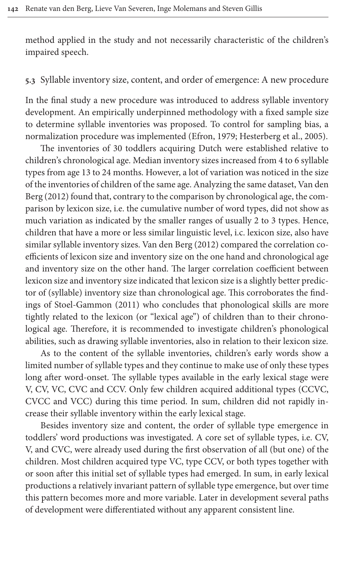method applied in the study and not necessarily characteristic of the children's impaired speech.

### **5.3** Syllable inventory size, content, and order of emergence: A new procedure

In the final study a new procedure w[as introduce](#page-25-4)[d to address syllable in](#page-25-5)ventory development. An empirically underpinned methodology with a fixed sample size to determine syllable inventories was proposed. To control for sampling bias, a normalization procedure was implemented (Efron, 1979; Hesterberg et al., 2005).

The inventories of 30 toddlers acquiring Dutch were establi[shed rela](#page-26-15)tive to [child](#page-26-15)ren's chronological age. Median inventory sizes increased from 4 to 6 syllable types from age 13 to 24 months. However, a lot of variation was noticed in the size of the inventories of children of the same age. Analyzing the same dataset, Van den Berg (2012) found that, contrary to the comparison by chronological age, the comparison by lexicon size, i[.e. the cumulative nu](#page-26-15)mber of word types, did not show as much variation as indicated by the smaller ranges of usually 2 to 3 types. Hence, children that have a more or less similar linguistic level, i.c. lexicon size, also have similar syllable inventory sizes. Van den Berg (2012) compared the correlation coefficients of lexicon size and inventory size on the one hand and chronological age [and inventory size on th](#page-26-16)e other hand. The larger correlation coefficient between lexicon size and inventory size indicated that lexicon size is a slightly better predictor of (syllable) inventory size than chronological age. This corroborates the findings of Stoel-Gammon (2011) who concludes that phonological skills are more tightly related to the lexicon (or "lexical age") of children than to their chronological age. Therefore, it is recommended to investigate children's phonological abilities, such as drawing syllable inventories, also in relation to their lexicon size.

As to the content of the syllable inventories, children's early words show a limited number of syllable types and they continue to make use of only these types long after word-onset. The syllable types available in the early lexical stage were V, CV, VC, CVC and CCV. Only few children acquired additional types (CCVC, CVCC and VCC) during this time period. In sum, children did not rapidly increase their syllable inventory within the early lexical stage.

Besides inventory size and content, the order of syllable type emergence in toddlers' word productions was investigated. A core set of syllable types, i.e. CV, V, and CVC, were already used during the first observation of all (but one) of the children. Most children acquired type VC, type CCV, or both types together with or soon after this initial set of syllable types had emerged. In sum, in early lexical productions a relatively invariant pattern of syllable type emergence, but over time this pattern becomes more and more variable. Later in development several paths of development were differentiated without any apparent consistent line.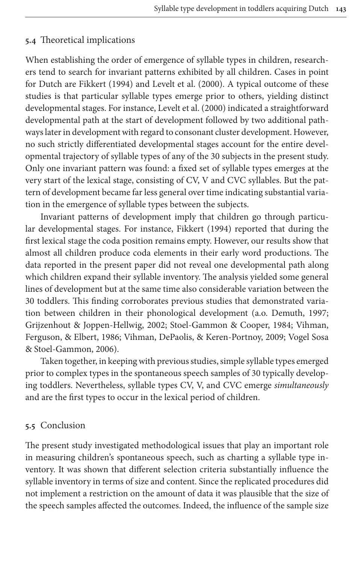### **5.4** Theoretical implications

When [establishing the](#page-25-1) ord[er of emergence of s](#page-26-2)yllable types in children, researchers tend to search for invari[ant patterns exhibi](#page-26-2)ted by all children. Cases in point for Dutch are Fikkert (1994) and Levelt et al. (2000). A typical outcome of these studies is that particular syllable types emerge prior to others, yielding distinct developmental stages. For instance, Levelt et al. (2000) indicated a straightforward developmental path at the start of development followed by two additional pathways later in development with regard to consonant cluster development. However, no such strictly differentiated developmental stages account for the entire developmental trajectory of syllable types of any of the 30 subjects in the present study. Only one invariant pattern was found: a fixed set of syllable types emerges at the very start of the lexical stage, consisting of CV, V and CVC syllables. But the pattern of development became far le[ss general over t](#page-25-1)ime indicating substantial variation in the emergence of syllable types between the subjects.

Invariant patterns of development imply that children go through particular developmental stages. For instance, Fikkert (1994) reported that during the first lexical stage the coda position remains empty. However, our results show that almost all children produce coda elements in their early word productions. The data reported in the present paper did not reveal one developmental path along which children expand their syllable inventory. The analysi[s yielded some](#page-25-7) general [lines of development but at the](#page-25-2) [same time also considerable varia](#page-26-17)t[ion betwe](#page-26-18)en the [30 toddlers. This fi](#page-26-18)[nding corroborates previous studies that de](#page-26-19)[monstrated](#page-27-2) varia[tion between chi](#page-27-2)ldren in their phonological development (a.o. Demuth, 1997; Grijzenhout & Joppen-Hellwig, 2002; Stoel-Gammon & Cooper, 1984; Vihman, Ferguson, & Elbert, 1986; Vihman, DePaolis, & Keren-Portnoy, 2009; Vogel Sosa & Stoel-Gammon, 2006).

Taken together, in keeping with previous studies, simple syllable types emerged prior to complex types in the spontaneous speech samples of 30 typically developing toddlers. Nevertheless, syllable types CV, V, and CVC emerge *simultaneously* and are the first types to occur in the lexical period of children.

### **5.5** Conclusion

The present study investigated methodological issues that play an important role in measuring children's spontaneous speech, such as charting a syllable type inventory. It was shown that different selection criteria substantially influence the syllable inventory in terms of size and content. Since the replicated procedures did not implement a restriction on the amount of data it was plausible that the size of the speech samples affected the outcomes. Indeed, the influence of the sample size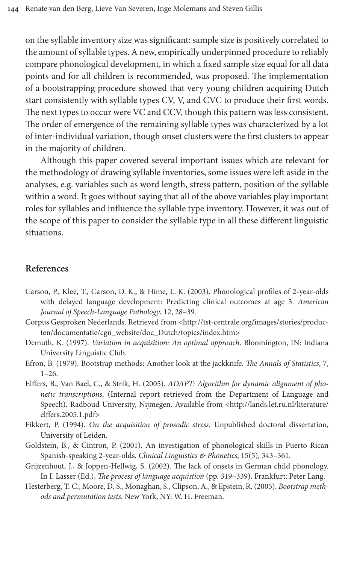on the syllable inventory size was significant: sample size is positively correlated to the amount of syllable types. A new, empirically underpinned procedure to reliably compare phonological development, in which a fixed sample size equal for all data points and for all children is recommended, was proposed. The implementation of a bootstrapping procedure showed that very young children acquiring Dutch start consistently with syllable types CV, V, and CVC to produce their first words. The next types to occur were VC and CCV, though this pattern was less consistent. The order of emergence of the remaining syllable types was characterized by a lot of inter-individual variation, though onset clusters were the first clusters to appear in the majority of children.

Although this paper covered several important issues which are relevant for the methodology of drawing syllable inventories, some issues were left aside in the analyses, e.g. variables such as word length, stress pattern, position of the syllable within a word. It goes without saying that all of the above variables play important roles for syllables and influence the syllable type inventory. However, it was out of the scope of this paper to consider the syllable type in all these different linguistic situations.

#### <span id="page-25-6"></span>**References**

- Carson, P., Klee, T., Carson, D. K., & Hime, L. [K. \(2003\). Phonological profiles of 2-ye](http://tst-centrale.org/images/stories/producten/documentatie/cgn_website/doc_Dutch/topics/index.htm)ar-olds [with delayed language development: Predicting cli](http://tst-centrale.org/images/stories/producten/documentatie/cgn_website/doc_Dutch/topics/index.htm)nical outcomes at age 3. *American Journal of Speech-Language Pathology*, 12, 28–39.
- <span id="page-25-7"></span><span id="page-25-4"></span>Corpus Gesproken Nederlands. Retrieved from <http://tst-centrale.org/images/stories/producten/documentatie/cgn\_website/doc\_Dutch/topics/index.htm>
- <span id="page-25-3"></span>Demuth, K. (1997). *Variation in acquisition: An optimal approach*. Bloomington, IN: Indiana University Linguistic Club.
- Efron, B. (1979). Bootstrap methods: Another look at the jackknife. *[The Annals of Stati](http://lands.let.ru.nl/literature/elffers.2005.1.pdf)stics*, 7, 1–26.
- <span id="page-25-1"></span>[Elffers, B., Van](http://lands.let.ru.nl/literature/elffers.2005.1.pdf) Bael, C., & Strik, H. (2005). *ADAPT: Algorithm for dynamic alignment of phonetic transcriptions*. (Internal report retrieved from the Department of Language and Speech). Radboud University, Nijmegen. Available from <http://lands.let.ru.nl/literature/ elffers.2005.1.pdf>
- <span id="page-25-2"></span><span id="page-25-0"></span>Fikkert, P. (1994). *On the acquisition of prosodic stress*. Unpublished doctoral dissertation, University of Leiden.
- <span id="page-25-5"></span>Goldstein, B., & Cintron, P. (2001). An investigation of phonological skills in Puerto Rican Spanish-speaking 2-year-olds. *Clinical Linguistics & Phonetics*, 15(5), 343–361.
- Grijzenhout, J., & Joppen-Hellwig, S. (2002). The lack of onsets in German child phonology. In I. Lasser (Ed.), *The process of language acquistion* (pp. 319–339). Frankfurt: Peter Lang.
- Hesterberg, T. C., Moore, D. S., Monaghan, S., Clipson, A., & Epstein, R. (2005). *Bootstrap methods and permutation tests*. New York, NY: W. H. Freeman.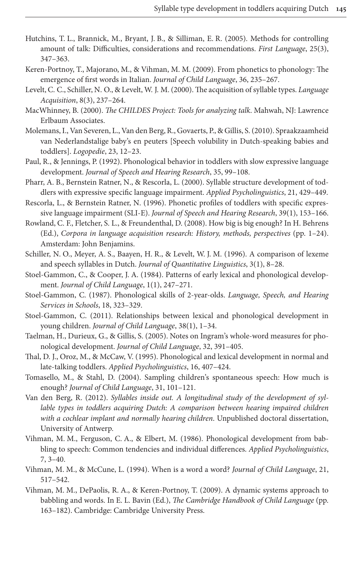- <span id="page-26-3"></span>Hutchins, T. L., Brannick, M., Bryant, J. B., & Silliman, E. R. (2005). Methods for controlling amount of talk: Difficulties, considerations and recommendations. *First Language*, 25(3), 347–363.
- <span id="page-26-1"></span>Keren-Portnoy, T., Majorano, M., & Vihman, M. M. (2009). From phonetics to phonology: The emergence of first words in Italian. *Journal of Child Language*, 36, 235–267.
- <span id="page-26-2"></span>Levelt, C. C., Schiller, N. O., & Levelt, W. J. M. (2000). The acquisition of syllable types. *Language Acquisition*, 8(3), 237–264.
- <span id="page-26-9"></span>MacWhinney, B. (2000). *The CHILDES Project: Tools for analyzing talk*. Mahwah, NJ: Lawrence Erlbaum Associates.
- <span id="page-26-12"></span>Molemans, I., Van Severen, L., Van den Berg, R., Govaerts, P., & Gillis, S. (2010). Spraakzaamheid van Nederlandstalige baby's en peuters [Speech volubility in Dutch-speaking babies and toddlers]. *Logopedie*, 23, 12–23.
- <span id="page-26-13"></span>Paul, R., & Jennings, P. (1992). Phonological behavior in toddlers with slow expressive language development. *Journal of Speech and Hearing Research*, 35, 99–108.
- <span id="page-26-10"></span>Pharr, A. B., Bernstein Ratner, N., & Rescorla, L. (2000). Syllable structure development of toddlers with expressive specific language impairment. *Applied Psycholinguistics*, 21, 429–449.
- <span id="page-26-14"></span>Rescorla, L., & Bernstein Ratner, N. (1996). Phonetic profiles of toddlers with specific expressive language impairment (SLI-E). *Journal of Speech and Hearing Research*, 39(1), 153–166.
- <span id="page-26-4"></span>Rowland, C. F., Fletcher, S. L., & Freundenthal, D. (2008). How big is big enough? In H. Behrens (Ed.), *Corpora in language acquisition research: History, methods, perspectives* (pp. 1–24). Amsterdam: John Benjamins.
- <span id="page-26-5"></span>Schiller, N. O., Meyer, A. S., Baayen, H. R., & Levelt, W. J. M. (1996). A comparison of lexeme and speech syllables in Dutch. *Journal of Quantitative Linguistics*, 3(1), 8–28.
- <span id="page-26-17"></span>Stoel-Gammon, C., & Cooper, J. A. (1984). Patterns of early lexical and phonological development. *Journal of Child Language*, 1(1), 247–271.
- <span id="page-26-0"></span>Stoel-Gammon, C. (1987). Phonological skills of 2-year-olds. *Language, Speech, and Hearing Services in Schools*, 18, 323–329.
- <span id="page-26-16"></span>Stoel-Gammon, C. (2011). Relationships between lexical and phonological development in young children. *Journal of Child Language*, 38(1), 1–34.
- <span id="page-26-6"></span>Taelman, H., Durieux, G., & Gillis, S. (2005). Notes on Ingram's whole-word measures for phonological development. *Journal of Child Language*, 32, 391–405.
- <span id="page-26-8"></span>Thal, D. J., Oroz, M., & McCaw, V. (1995). Phonological and lexical development in normal and late-talking toddlers. *Applied Psycholinguistics*, 16, 407–424.
- <span id="page-26-7"></span>Tomasello, M., & Stahl, D. (2004). Sampling children's spontaneous speech: How much is enough? *Journal of Child Language*, 31, 101–121.
- <span id="page-26-15"></span>Van den Berg, R. (2012). *Syllables inside out. A longitudinal study of the development of syllable types in toddlers acquiring Dutch: A comparison between hearing impaired children with a cochlear implant and normally hearing children*. Unpublished doctoral dissertation, University of Antwerp.
- <span id="page-26-18"></span>Vihman, M. M., Ferguson, C. A., & Elbert, M. (1986). Phonological development from babbling to speech: Common tendencies and individual differences. *Applied Psycholinguistics*, 7, 3–40.
- <span id="page-26-11"></span>Vihman, M. M., & McCune, L. (1994). When is a word a word? *Journal of Child Language*, 21, 517–542.
- <span id="page-26-19"></span>Vihman, M. M., DePaolis, R. A., & Keren-Portnoy, T. (2009). A dynamic systems approach to babbling and words. In E. L. Bavin (Ed.), *The Cambridge Handbook of Child Language* (pp. 163–182). Cambridge: Cambridge University Press.